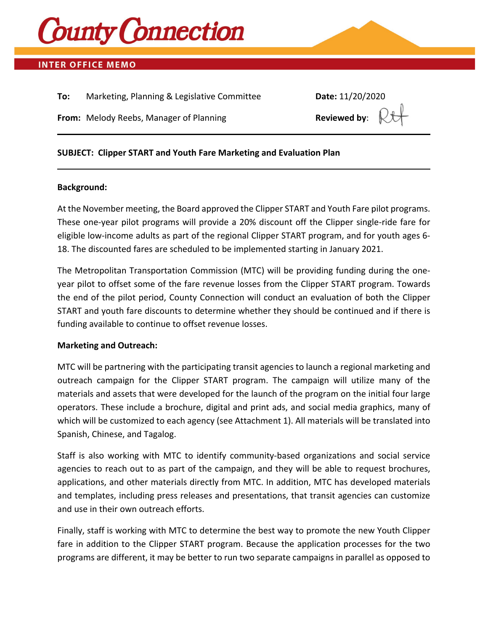

# **INTER OFFICE MEMO**

**To:** Marketing, Planning & Legislative Committee **Date:** 11/20/2020

**From:** Melody Reebs, Manager of Planning **Reviewed by:** 

#### **SUBJECT: Clipper START and Youth Fare Marketing and Evaluation Plan**

#### **Background:**

At the November meeting, the Board approved the Clipper START and Youth Fare pilot programs. These one-year pilot programs will provide a 20% discount off the Clipper single-ride fare for eligible low-income adults as part of the regional Clipper START program, and for youth ages 6- 18. The discounted fares are scheduled to be implemented starting in January 2021.

The Metropolitan Transportation Commission (MTC) will be providing funding during the oneyear pilot to offset some of the fare revenue losses from the Clipper START program. Towards the end of the pilot period, County Connection will conduct an evaluation of both the Clipper START and youth fare discounts to determine whether they should be continued and if there is funding available to continue to offset revenue losses.

#### **Marketing and Outreach:**

MTC will be partnering with the participating transit agencies to launch a regional marketing and outreach campaign for the Clipper START program. The campaign will utilize many of the materials and assets that were developed for the launch of the program on the initial four large operators. These include a brochure, digital and print ads, and social media graphics, many of which will be customized to each agency (see Attachment 1). All materials will be translated into Spanish, Chinese, and Tagalog.

Staff is also working with MTC to identify community-based organizations and social service agencies to reach out to as part of the campaign, and they will be able to request brochures, applications, and other materials directly from MTC. In addition, MTC has developed materials and templates, including press releases and presentations, that transit agencies can customize and use in their own outreach efforts.

Finally, staff is working with MTC to determine the best way to promote the new Youth Clipper fare in addition to the Clipper START program. Because the application processes for the two programs are different, it may be better to run two separate campaigns in parallel as opposed to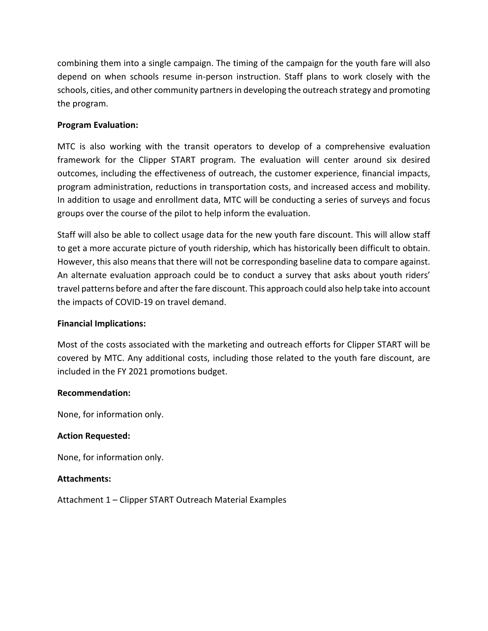combining them into a single campaign. The timing of the campaign for the youth fare will also depend on when schools resume in-person instruction. Staff plans to work closely with the schools, cities, and other community partners in developing the outreach strategy and promoting the program.

# **Program Evaluation:**

MTC is also working with the transit operators to develop of a comprehensive evaluation framework for the Clipper START program. The evaluation will center around six desired outcomes, including the effectiveness of outreach, the customer experience, financial impacts, program administration, reductions in transportation costs, and increased access and mobility. In addition to usage and enrollment data, MTC will be conducting a series of surveys and focus groups over the course of the pilot to help inform the evaluation.

Staff will also be able to collect usage data for the new youth fare discount. This will allow staff to get a more accurate picture of youth ridership, which has historically been difficult to obtain. However, this also means that there will not be corresponding baseline data to compare against. An alternate evaluation approach could be to conduct a survey that asks about youth riders' travel patterns before and after the fare discount. This approach could also help take into account the impacts of COVID-19 on travel demand.

### **Financial Implications:**

Most of the costs associated with the marketing and outreach efforts for Clipper START will be covered by MTC. Any additional costs, including those related to the youth fare discount, are included in the FY 2021 promotions budget.

### **Recommendation:**

None, for information only.

### **Action Requested:**

None, for information only.

#### **Attachments:**

Attachment 1 – Clipper START Outreach Material Examples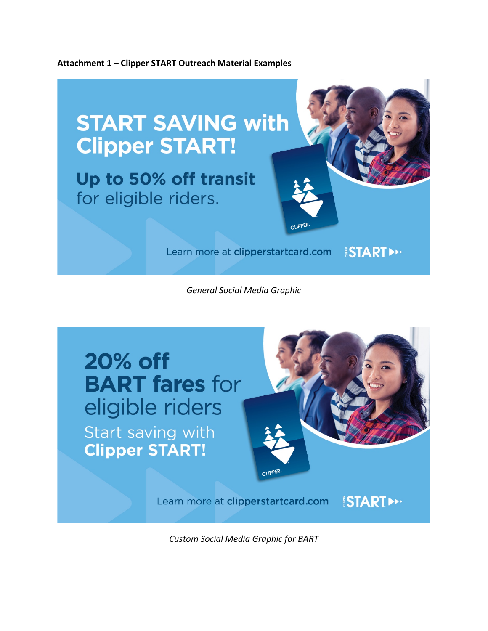



*General Social Media Graphic*



*Custom Social Media Graphic for BART*